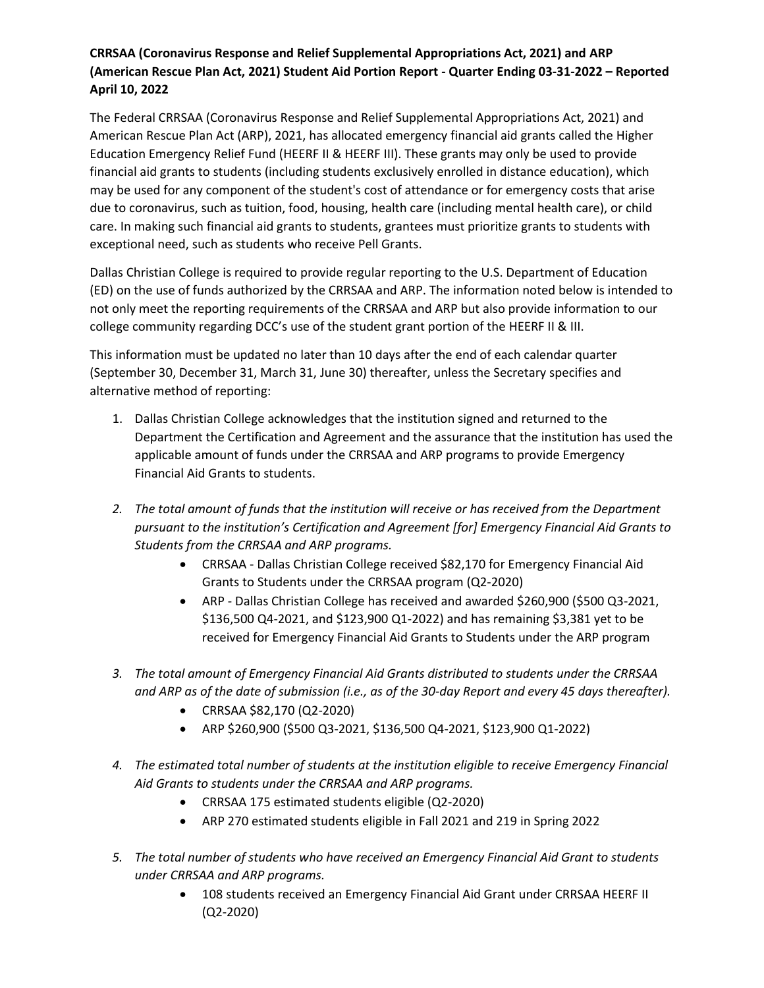## **CRRSAA (Coronavirus Response and Relief Supplemental Appropriations Act, 2021) and ARP (American Rescue Plan Act, 2021) Student Aid Portion Report - Quarter Ending 03-31-2022 – Reported April 10, 2022**

The Federal CRRSAA (Coronavirus Response and Relief Supplemental Appropriations Act, 2021) and American Rescue Plan Act (ARP), 2021, has allocated emergency financial aid grants called the Higher Education Emergency Relief Fund (HEERF II & HEERF III). These grants may only be used to provide financial aid grants to students (including students exclusively enrolled in distance education), which may be used for any component of the student's cost of attendance or for emergency costs that arise due to coronavirus, such as tuition, food, housing, health care (including mental health care), or child care. In making such financial aid grants to students, grantees must prioritize grants to students with exceptional need, such as students who receive Pell Grants.

Dallas Christian College is required to provide regular reporting to the U.S. Department of Education (ED) on the use of funds authorized by the CRRSAA and ARP. The information noted below is intended to not only meet the reporting requirements of the CRRSAA and ARP but also provide information to our college community regarding DCC's use of the student grant portion of the HEERF II & III.

This information must be updated no later than 10 days after the end of each calendar quarter (September 30, December 31, March 31, June 30) thereafter, unless the Secretary specifies and alternative method of reporting:

- 1. Dallas Christian College acknowledges that the institution signed and returned to the Department the Certification and Agreement and the assurance that the institution has used the applicable amount of funds under the CRRSAA and ARP programs to provide Emergency Financial Aid Grants to students.
- *2. The total amount of funds that the institution will receive or has received from the Department pursuant to the institution's Certification and Agreement [for] Emergency Financial Aid Grants to Students from the CRRSAA and ARP programs.*
	- CRRSAA Dallas Christian College received \$82,170 for Emergency Financial Aid Grants to Students under the CRRSAA program (Q2-2020)
	- ARP Dallas Christian College has received and awarded \$260,900 (\$500 Q3-2021, \$136,500 Q4-2021, and \$123,900 Q1-2022) and has remaining \$3,381 yet to be received for Emergency Financial Aid Grants to Students under the ARP program
- *3. The total amount of Emergency Financial Aid Grants distributed to students under the CRRSAA and ARP as of the date of submission (i.e., as of the 30-day Report and every 45 days thereafter).*
	- CRRSAA \$82,170 (Q2-2020)
	- ARP \$260,900 (\$500 Q3-2021, \$136,500 Q4-2021, \$123,900 Q1-2022)
- *4. The estimated total number of students at the institution eligible to receive Emergency Financial Aid Grants to students under the CRRSAA and ARP programs.*
	- CRRSAA 175 estimated students eligible (Q2-2020)
	- ARP 270 estimated students eligible in Fall 2021 and 219 in Spring 2022
- *5. The total number of students who have received an Emergency Financial Aid Grant to students under CRRSAA and ARP programs.*
	- 108 students received an Emergency Financial Aid Grant under CRRSAA HEERF II (Q2-2020)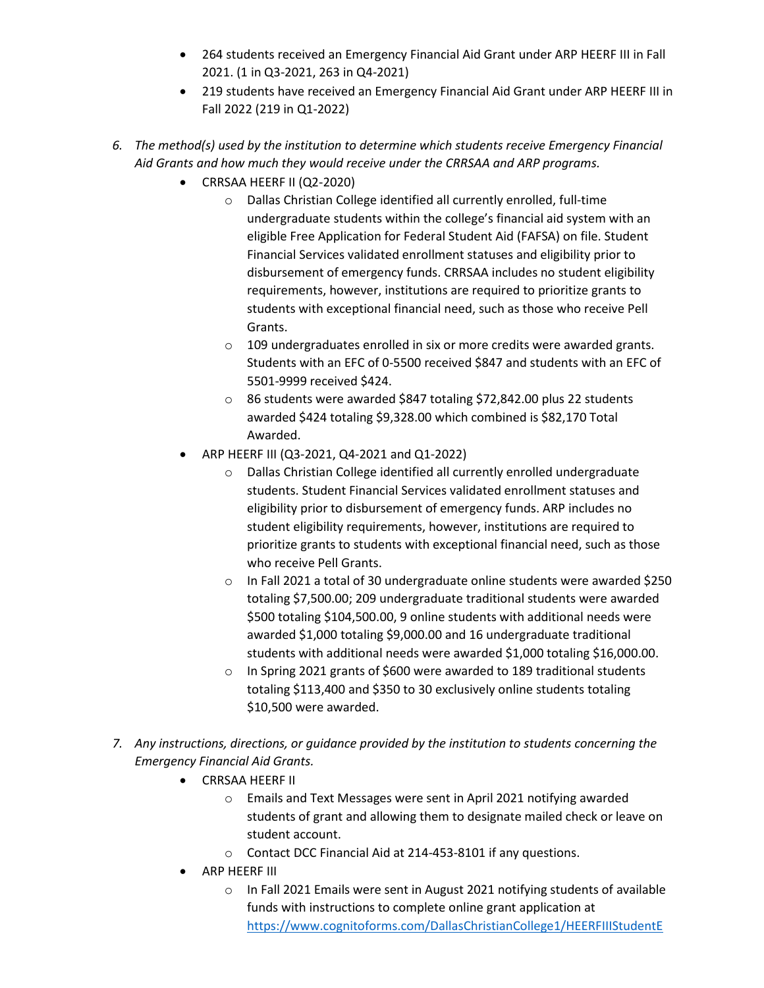- 264 students received an Emergency Financial Aid Grant under ARP HEERF III in Fall 2021. (1 in Q3-2021, 263 in Q4-2021)
- 219 students have received an Emergency Financial Aid Grant under ARP HEERF III in Fall 2022 (219 in Q1-2022)
- *6. The method(s) used by the institution to determine which students receive Emergency Financial Aid Grants and how much they would receive under the CRRSAA and ARP programs.*
	- CRRSAA HEERF II (Q2-2020)
		- o Dallas Christian College identified all currently enrolled, full-time undergraduate students within the college's financial aid system with an eligible Free Application for Federal Student Aid (FAFSA) on file. Student Financial Services validated enrollment statuses and eligibility prior to disbursement of emergency funds. CRRSAA includes no student eligibility requirements, however, institutions are required to prioritize grants to students with exceptional financial need, such as those who receive Pell Grants.
		- o 109 undergraduates enrolled in six or more credits were awarded grants. Students with an EFC of 0-5500 received \$847 and students with an EFC of 5501-9999 received \$424.
		- o 86 students were awarded \$847 totaling \$72,842.00 plus 22 students awarded \$424 totaling \$9,328.00 which combined is \$82,170 Total Awarded.
	- ARP HEERF III (Q3-2021, Q4-2021 and Q1-2022)
		- o Dallas Christian College identified all currently enrolled undergraduate students. Student Financial Services validated enrollment statuses and eligibility prior to disbursement of emergency funds. ARP includes no student eligibility requirements, however, institutions are required to prioritize grants to students with exceptional financial need, such as those who receive Pell Grants.
		- o In Fall 2021 a total of 30 undergraduate online students were awarded \$250 totaling \$7,500.00; 209 undergraduate traditional students were awarded \$500 totaling \$104,500.00, 9 online students with additional needs were awarded \$1,000 totaling \$9,000.00 and 16 undergraduate traditional students with additional needs were awarded \$1,000 totaling \$16,000.00.
		- o In Spring 2021 grants of \$600 were awarded to 189 traditional students totaling \$113,400 and \$350 to 30 exclusively online students totaling \$10,500 were awarded.
- *7. Any instructions, directions, or guidance provided by the institution to students concerning the Emergency Financial Aid Grants.*
	- CRRSAA HEERF II
		- o Emails and Text Messages were sent in April 2021 notifying awarded students of grant and allowing them to designate mailed check or leave on student account.
		- o Contact DCC Financial Aid at 214-453-8101 if any questions.
	- ARP HEERF III
		- o In Fall 2021 Emails were sent in August 2021 notifying students of available funds with instructions to complete online grant application at [https://www.cognitoforms.com/DallasChristianCollege1/HEERFIIIStudentE](https://www.cognitoforms.com/DallasChristianCollege1/HEERFIIIStudentEmergencyGrantApplication)